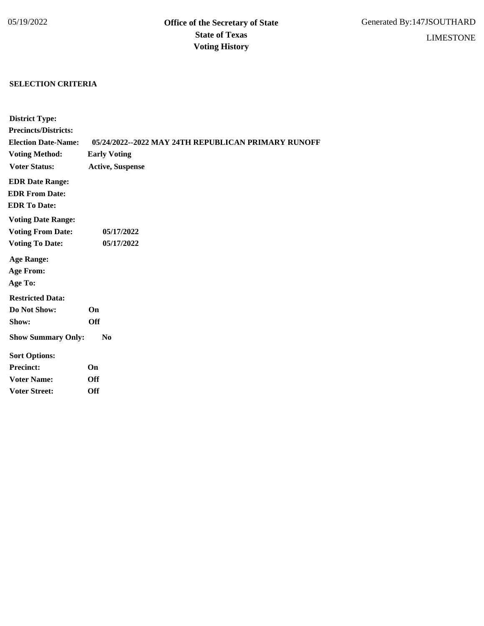## **SELECTION CRITERIA**

| <b>District Type:</b>       |                                                     |
|-----------------------------|-----------------------------------------------------|
| <b>Precincts/Districts:</b> |                                                     |
| <b>Election Date-Name:</b>  | 05/24/2022--2022 MAY 24TH REPUBLICAN PRIMARY RUNOFF |
| <b>Voting Method:</b>       | <b>Early Voting</b>                                 |
| <b>Voter Status:</b>        | <b>Active, Suspense</b>                             |
| <b>EDR Date Range:</b>      |                                                     |
| <b>EDR From Date:</b>       |                                                     |
| <b>EDR To Date:</b>         |                                                     |
| <b>Voting Date Range:</b>   |                                                     |
| <b>Voting From Date:</b>    | 05/17/2022                                          |
| <b>Voting To Date:</b>      | 05/17/2022                                          |
| <b>Age Range:</b>           |                                                     |
| <b>Age From:</b>            |                                                     |
| Age To:                     |                                                     |
| <b>Restricted Data:</b>     |                                                     |
| Do Not Show:                | On                                                  |
| Show:                       | <b>Off</b>                                          |
| <b>Show Summary Only:</b>   | N <sub>0</sub>                                      |
| <b>Sort Options:</b>        |                                                     |
| <b>Precinct:</b>            | On                                                  |
| <b>Voter Name:</b>          | Off                                                 |
| <b>Voter Street:</b>        | Off                                                 |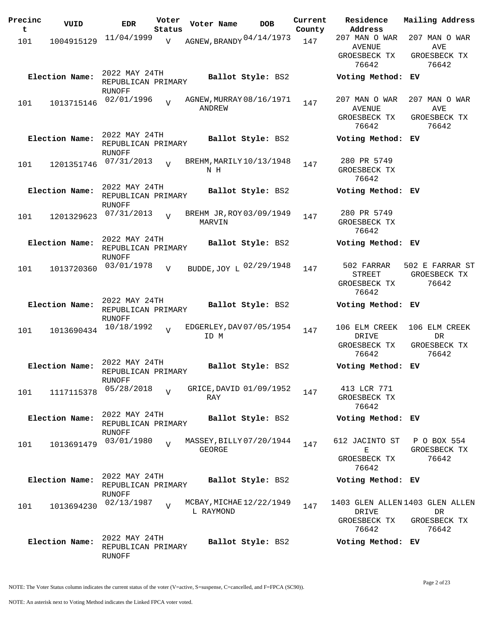| Precinc<br>t | VUID           | <b>EDR</b>                                           | Voter<br>Status | Voter Name    | <b>DOB</b>               | Current<br>County | Residence<br>Address                                    | Mailing Address                                                |
|--------------|----------------|------------------------------------------------------|-----------------|---------------|--------------------------|-------------------|---------------------------------------------------------|----------------------------------------------------------------|
| 101          | 1004915129     | 11/04/1999                                           | V               |               | AGNEW, BRANDY 04/14/1973 | 147               | 207 MAN O WAR<br><b>AVENUE</b>                          | 207 MAN O WAR<br>AVE                                           |
|              |                |                                                      |                 |               |                          |                   | GROESBECK TX<br>76642                                   | GROESBECK TX<br>76642                                          |
|              | Election Name: | 2022 MAY 24TH<br>REPUBLICAN PRIMARY<br>RUNOFF        |                 |               | Ballot Style: BS2        |                   | Voting Method: EV                                       |                                                                |
| 101          | 1013715146     | 02/01/1996                                           | $\overline{V}$  | <b>ANDREW</b> | AGNEW, MURRAY 08/16/1971 | 147               | 207 MAN O WAR<br><b>AVENUE</b><br>GROESBECK TX<br>76642 | 207 MAN O WAR<br>AVE<br>GROESBECK TX<br>76642                  |
|              | Election Name: | 2022 MAY 24TH<br>REPUBLICAN PRIMARY<br>RUNOFF        |                 |               | Ballot Style: BS2        |                   | Voting Method: EV                                       |                                                                |
| 101          | 1201351746     | 07/31/2013                                           | $\overline{z}$  | N H           | BREHM, MARILY 10/13/1948 | 147               | 280 PR 5749<br>GROESBECK TX<br>76642                    |                                                                |
|              | Election Name: | 2022 MAY 24TH<br>REPUBLICAN PRIMARY<br>RUNOFF        |                 |               | Ballot Style: BS2        |                   | Voting Method: EV                                       |                                                                |
| 101          | 1201329623     | 07/31/2013                                           | $\overline{z}$  | MARVIN        | BREHM JR, ROY 03/09/1949 | 147               | 280 PR 5749<br>GROESBECK TX<br>76642                    |                                                                |
|              | Election Name: | 2022 MAY 24TH<br>REPUBLICAN PRIMARY<br>RUNOFF        |                 |               | Ballot Style: BS2        |                   | Voting Method: EV                                       |                                                                |
| 101          | 1013720360     | 03/01/1978                                           | $\overline{V}$  |               | BUDDE, JOY L 02/29/1948  | 147               | 502 FARRAR<br><b>STREET</b><br>GROESBECK TX<br>76642    | 502 E FARRAR ST<br>GROESBECK TX<br>76642                       |
|              | Election Name: | 2022 MAY 24TH<br>REPUBLICAN PRIMARY<br>RUNOFF        |                 |               | Ballot Style: BS2        |                   | Voting Method: EV                                       |                                                                |
| 101          | 1013690434     | 10/18/1992                                           | $\overline{v}$  | ID M          | EDGERLEY, DAV 07/05/1954 | 147               | 106 ELM CREEK<br>DRIVE<br>GROESBECK TX<br>76642         | 106 ELM CREEK<br>DR<br>GROESBECK TX<br>76642                   |
|              | Election Name: | 2022 MAY 24TH<br>REPUBLICAN PRIMARY<br><b>RUNOFF</b> |                 |               | Ballot Style: BS2        |                   | Voting Method: EV                                       |                                                                |
| 101          | 1117115378     | 05/28/2018                                           | $\overline{V}$  | RAY           | GRICE, DAVID 01/09/1952  | 147               | 413 LCR 771<br>GROESBECK TX<br>76642                    |                                                                |
|              | Election Name: | 2022 MAY 24TH<br>REPUBLICAN PRIMARY<br>RUNOFF        |                 |               | Ballot Style: BS2        |                   | Voting Method: EV                                       |                                                                |
| 101          | 1013691479     | 03/01/1980                                           | $\overline{U}$  | GEORGE        | MASSEY, BILLY 07/20/1944 | 147               | 612 JACINTO ST<br>Е<br>GROESBECK TX<br>76642            | P O BOX 554<br>GROESBECK TX<br>76642                           |
|              | Election Name: | 2022 MAY 24TH<br>REPUBLICAN PRIMARY<br>RUNOFF        |                 |               | Ballot Style: BS2        |                   | Voting Method: EV                                       |                                                                |
| 101          | 1013694230     | 02/13/1987                                           | $\overline{V}$  | L RAYMOND     | MCBAY, MICHAE 12/22/1949 | 147               | DRIVE<br>GROESBECK TX<br>76642                          | 1403 GLEN ALLEN 1403 GLEN ALLEN<br>DR<br>GROESBECK TX<br>76642 |
|              | Election Name: | 2022 MAY 24TH<br>REPUBLICAN PRIMARY<br>RUNOFF        |                 |               | Ballot Style: BS2        |                   | Voting Method: EV                                       |                                                                |

NOTE: The Voter Status column indicates the current status of the voter (V=active, S=suspense, C=cancelled, and F=FPCA (SC90)).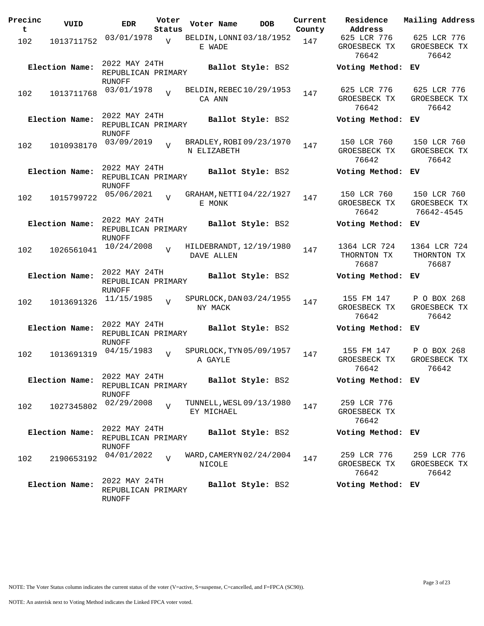| Precinc<br>t | VUID           | <b>EDR</b>                                           | Voter<br>Status | Voter Name                              | <b>DOB</b>        | Current<br>County | Residence<br>Address                 | Mailing Address                           |
|--------------|----------------|------------------------------------------------------|-----------------|-----------------------------------------|-------------------|-------------------|--------------------------------------|-------------------------------------------|
| 102          | 1013711752     | 03/01/1978                                           | $\overline{V}$  | BELDIN, LONNI 03/18/1952<br>E WADE      |                   | 147               | 625 LCR 776<br>GROESBECK TX<br>76642 | 625 LCR 776<br>GROESBECK TX<br>76642      |
|              | Election Name: | 2022 MAY 24TH<br>REPUBLICAN PRIMARY<br>RUNOFF        |                 |                                         | Ballot Style: BS2 |                   | Voting Method: EV                    |                                           |
| 102          | 1013711768     | 03/01/1978                                           | $\overline{V}$  | BELDIN, REBEC 10/29/1953<br>CA ANN      |                   | 147               | 625 LCR 776<br>GROESBECK TX<br>76642 | 625 LCR 776<br>GROESBECK TX<br>76642      |
|              | Election Name: | 2022 MAY 24TH<br>REPUBLICAN PRIMARY<br><b>RUNOFF</b> |                 |                                         | Ballot Style: BS2 |                   | Voting Method: EV                    |                                           |
| 102          | 1010938170     | 03/09/2019                                           | $\overline{z}$  | BRADLEY, ROBI 09/23/1970<br>N ELIZABETH |                   | 147               | 150 LCR 760<br>GROESBECK TX<br>76642 | 150 LCR 760<br>GROESBECK TX<br>76642      |
|              | Election Name: | 2022 MAY 24TH<br>REPUBLICAN PRIMARY<br>RUNOFF        |                 |                                         | Ballot Style: BS2 |                   | Voting Method: EV                    |                                           |
| 102          | 1015799722     | 05/06/2021                                           | $\overline{z}$  | GRAHAM, NETTI 04/22/1927<br>E MONK      |                   | 147               | 150 LCR 760<br>GROESBECK TX<br>76642 | 150 LCR 760<br>GROESBECK TX<br>76642-4545 |
|              | Election Name: | 2022 MAY 24TH<br>REPUBLICAN PRIMARY<br><b>RUNOFF</b> |                 |                                         | Ballot Style: BS2 |                   | Voting Method: EV                    |                                           |
| 102          | 1026561041     | 10/24/2008                                           | $\overline{z}$  | HILDEBRANDT, 12/19/1980<br>DAVE ALLEN   |                   | 147               | 1364 LCR 724<br>THORNTON TX<br>76687 | 1364 LCR 724<br>THORNTON TX<br>76687      |
|              | Election Name: | 2022 MAY 24TH<br>REPUBLICAN PRIMARY<br>RUNOFF        |                 |                                         | Ballot Style: BS2 |                   | Voting Method: EV                    |                                           |
| 102          | 1013691326     | 11/15/1985                                           | $\overline{V}$  | SPURLOCK, DAN 03/24/1955<br>NY MACK     |                   | 147               | 155 FM 147<br>GROESBECK TX<br>76642  | P O BOX 268<br>GROESBECK TX<br>76642      |
|              | Election Name: | 2022 MAY 24TH<br>REPUBLICAN PRIMARY<br><b>RUNOFF</b> |                 |                                         | Ballot Style: BS2 |                   | Voting Method:                       | ЕV                                        |
| 102          | 1013691319     | 04/15/1983                                           | $\overline{U}$  | SPURLOCK, TYN 05/09/1957<br>A GAYLE     |                   | 147               | 155 FM 147<br>GROESBECK TX<br>76642  | P O BOX 268<br>GROESBECK TX<br>76642      |
|              | Election Name: | 2022 MAY 24TH<br>REPUBLICAN PRIMARY<br>RUNOFF        |                 |                                         | Ballot Style: BS2 |                   | Voting Method: EV                    |                                           |
| 102          | 1027345802     | 02/29/2008                                           | $\overline{U}$  | TUNNELL, WESL 09/13/1980<br>EY MICHAEL  |                   | 147               | 259 LCR 776<br>GROESBECK TX<br>76642 |                                           |
|              | Election Name: | 2022 MAY 24TH<br>REPUBLICAN PRIMARY<br>RUNOFF        |                 |                                         | Ballot Style: BS2 |                   | Voting Method: EV                    |                                           |
| 102          | 2190653192     | 04/01/2022                                           | $\overline{V}$  | WARD, CAMERYN 02/24/2004<br>NICOLE      |                   | 147               | 259 LCR 776<br>GROESBECK TX<br>76642 | 259 LCR 776<br>GROESBECK TX<br>76642      |
|              | Election Name: | 2022 MAY 24TH<br>REPUBLICAN PRIMARY<br>RUNOFF        |                 |                                         | Ballot Style: BS2 |                   | Voting Method: EV                    |                                           |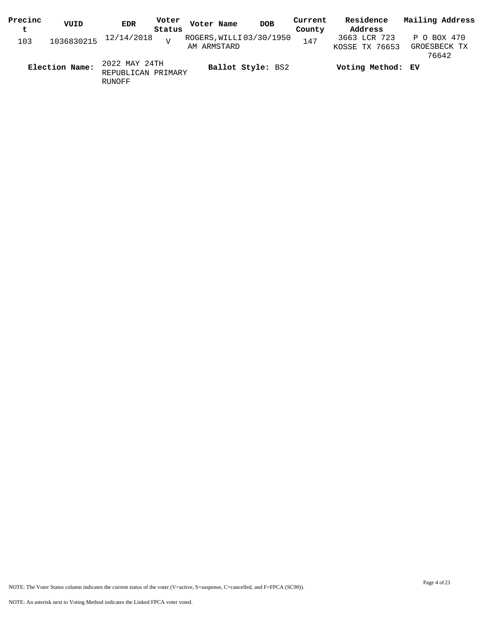| Precinc | VUID           | <b>EDR</b>                                    | Voter           | Voter Name  | <b>DOB</b>               | Current | Residence                      | Mailing Address                      |
|---------|----------------|-----------------------------------------------|-----------------|-------------|--------------------------|---------|--------------------------------|--------------------------------------|
| t       |                |                                               | Status          |             |                          | County  | Address                        |                                      |
| 103     | 1036830215     | 12/14/2018                                    | $\overline{17}$ | AM ARMSTARD | ROGERS, WILLI 03/30/1950 | 147     | 3663 LCR 723<br>KOSSE TX 76653 | P O BOX 470<br>GROESBECK TX<br>76642 |
|         | Election Name: | 2022 MAY 24TH<br>REPUBLICAN PRIMARY<br>RUNOFF |                 |             | Ballot Style: BS2        |         | Voting Method: EV              |                                      |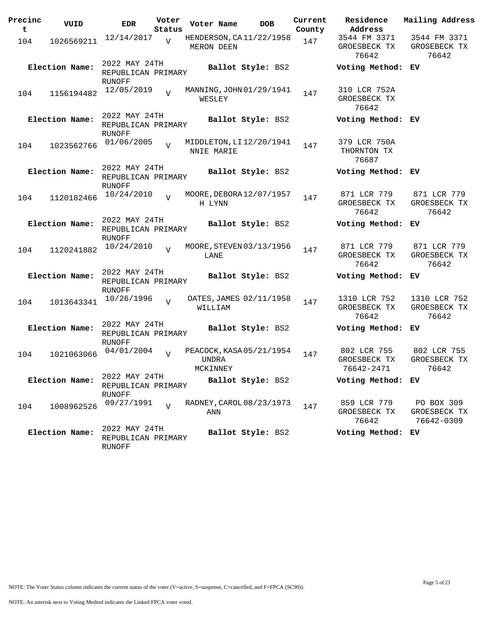| Precinc<br>t | VUID           | <b>EDR</b>                                           | Voter<br>Status | Voter Name                            |                          | <b>DOB</b> | Current<br>County | Residence<br>Address                      | Mailing Address                          |
|--------------|----------------|------------------------------------------------------|-----------------|---------------------------------------|--------------------------|------------|-------------------|-------------------------------------------|------------------------------------------|
| 104          | 1026569211     | 12/14/2017                                           | $\overline{V}$  | HENDERSON, CA11/22/1958<br>MERON DEEN |                          |            | 147               | 3544 FM 3371<br>GROESBECK TX<br>76642     | 3544 FM 3371<br>GROSEBECK TX<br>76642    |
|              | Election Name: | 2022 MAY 24TH<br>REPUBLICAN PRIMARY<br>RUNOFF        |                 |                                       | Ballot Style: BS2        |            |                   | Voting Method: EV                         |                                          |
| 104          | 1156194482     | 12/05/2019                                           | $\overline{z}$  | WESLEY                                | MANNING, JOHN 01/29/1941 |            | 147               | 310 LCR 752A<br>GROESBECK TX<br>76642     |                                          |
|              | Election Name: | 2022 MAY 24TH<br>REPUBLICAN PRIMARY<br>RUNOFF        |                 |                                       | Ballot Style: BS2        |            |                   | Voting Method: EV                         |                                          |
| 104          | 1023562766     | 01/06/2005                                           | $\overline{z}$  | NNIE MARIE                            | MIDDLETON, LI 12/20/1941 |            | 147               | 379 LCR 750A<br>THORNTON TX<br>76687      |                                          |
|              | Election Name: | 2022 MAY 24TH<br>REPUBLICAN PRIMARY<br><b>RUNOFF</b> |                 |                                       | Ballot Style: BS2        |            |                   | Voting Method: EV                         |                                          |
| 104          | 1120182466     | 10/24/2010                                           | $\overline{U}$  | H LYNN                                | MOORE, DEBORA 12/07/1957 |            | 147               | 871 LCR 779<br>GROESBECK TX<br>76642      | 871 LCR 779<br>GROESBECK TX<br>76642     |
|              | Election Name: | 2022 MAY 24TH<br>REPUBLICAN PRIMARY<br>RUNOFF        |                 |                                       | Ballot Style: BS2        |            |                   | Voting Method:                            | EV.                                      |
| 104          | 1120241882     | 10/24/2010                                           | $\overline{z}$  | LANE                                  | MOORE, STEVEN 03/13/1956 |            | 147               | 871 LCR 779<br>GROESBECK TX<br>76642      | 871 LCR 779<br>GROESBECK TX<br>76642     |
|              | Election Name: | 2022 MAY 24TH<br>REPUBLICAN PRIMARY<br>RUNOFF        |                 |                                       | Ballot Style: BS2        |            |                   | Voting Method: EV                         |                                          |
| 104          | 1013643341     | 10/26/1996                                           | $\overline{V}$  | WILLIAM                               | OATES, JAMES 02/11/1958  |            | 147               | 1310 LCR 752<br>GROESBECK TX<br>76642     | 1310 LCR 752<br>GROESBECK TX<br>76642    |
|              | Election Name: | 2022 MAY 24TH<br>REPUBLICAN PRIMARY<br>RUNOFF        |                 |                                       | Ballot Style: BS2        |            |                   | Voting Method:                            | EV.                                      |
| 104          | 1021063066     | 04/01/2004                                           | $\overline{z}$  | <b>UNDRA</b><br>MCKINNEY              | PEACOCK, KASA 05/21/1954 |            | 147               | 802 LCR 755<br>GROESBECK TX<br>76642-2471 | 802 LCR 755<br>GROESBECK TX<br>76642     |
|              | Election Name: | 2022 MAY 24TH<br>REPUBLICAN PRIMARY<br>RUNOFF        |                 |                                       | Ballot Style: BS2        |            |                   | Voting Method: EV                         |                                          |
| 104          | 1008962526     | 09/27/1991                                           | $\overline{z}$  | ANN                                   | RADNEY, CAROL 08/23/1973 |            | 147               | 859 LCR 779<br>GROESBECK TX<br>76642      | PO BOX 309<br>GROESBECK TX<br>76642-0309 |
|              | Election Name: | 2022 MAY 24TH<br>REPUBLICAN PRIMARY<br>RUNOFF        |                 |                                       | Ballot Style: BS2        |            |                   | Voting Method: EV                         |                                          |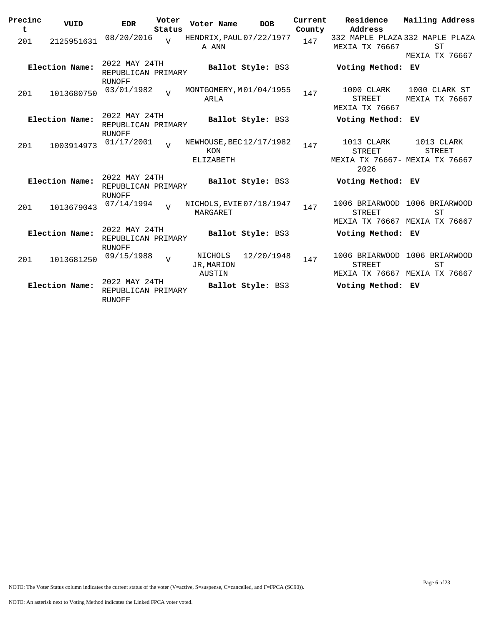| Precinc<br>t | VUID           | <b>EDR</b>                                           | Voter<br>Status | Voter Name                      | <b>DOB</b>               | Current<br>County | Residence<br>Address                                                  | Mailing Address                                                             |
|--------------|----------------|------------------------------------------------------|-----------------|---------------------------------|--------------------------|-------------------|-----------------------------------------------------------------------|-----------------------------------------------------------------------------|
| 201          | 2125951631     | 08/20/2016                                           | $\overline{U}$  | A ANN                           | HENDRIX, PAUL 07/22/1977 | 147               | <b>MEXIA TX 76667</b>                                                 | 332 MAPLE PLAZA 332 MAPLE PLAZA<br><b>ST</b><br><b>MEXIA TX 76667</b>       |
|              | Election Name: | 2022 MAY 24TH<br>REPUBLICAN PRIMARY<br><b>RUNOFF</b> |                 |                                 | Ballot Style: BS3        |                   | Voting Method: EV                                                     |                                                                             |
| 201          | 1013680750     | 03/01/1982                                           | $\overline{V}$  | ARLA                            | MONTGOMERY, M01/04/1955  | 147               | 1000 CLARK<br>STREET<br>MEXIA TX 76667                                | 1000 CLARK ST<br>MEXIA TX 76667                                             |
|              | Election Name: | 2022 MAY 24TH<br>REPUBLICAN PRIMARY<br><b>RUNOFF</b> |                 |                                 | Ballot Style: BS3        |                   | Voting Method: EV                                                     |                                                                             |
| 201          | 1003914973     | 01/17/2001                                           | $\overline{V}$  | KON<br>ELIZABETH                | NEWHOUSE, BEC 12/17/1982 | 147               | 1013 CLARK<br><b>STREET</b><br>MEXIA TX 76667- MEXIA TX 76667<br>2026 | 1013 CLARK<br><b>STREET</b>                                                 |
|              | Election Name: | 2022 MAY 24TH<br>REPUBLICAN PRIMARY<br><b>RUNOFF</b> |                 |                                 | Ballot Style: BS3        |                   | Voting Method: EV                                                     |                                                                             |
| 201          | 1013679043     | 07/14/1994                                           | $\overline{7}$  | MARGARET                        | NICHOLS, EVIE 07/18/1947 | 147               | <b>STREET</b>                                                         | 1006 BRIARWOOD 1006 BRIARWOOD<br><b>ST</b><br>MEXIA TX 76667 MEXIA TX 76667 |
|              | Election Name: | 2022 MAY 24TH<br>REPUBLICAN PRIMARY<br><b>RUNOFF</b> |                 |                                 | Ballot Style: BS3        |                   | Voting Method: EV                                                     |                                                                             |
| 201          | 1013681250     | 09/15/1988                                           | $\overline{V}$  | NICHOLS<br>JR, MARION<br>AUSTIN | 12/20/1948               | 147               | 1006 BRIARWOOD<br><b>STREET</b>                                       | 1006 BRIARWOOD<br><b>ST</b><br>MEXIA TX 76667 MEXIA TX 76667                |
|              | Election Name: | 2022 MAY 24TH<br>REPUBLICAN PRIMARY<br><b>RUNOFF</b> |                 |                                 | Ballot Style: BS3        |                   | Voting Method: EV                                                     |                                                                             |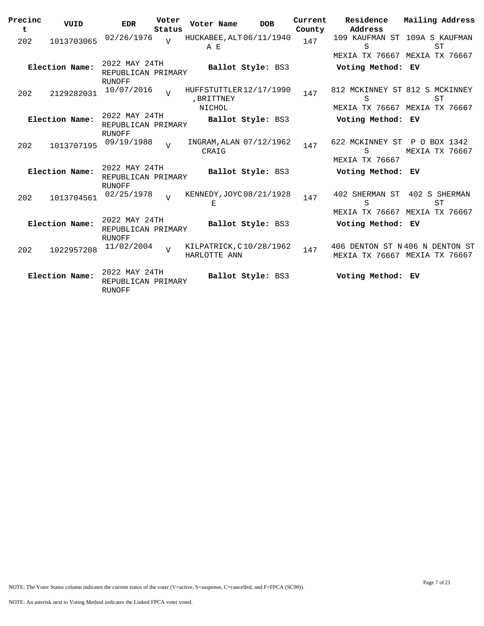| Precinc  | VUID           | <b>EDR</b>                                    | Voter<br>Status | Voter Name                                      | <b>DOB</b>        | Current<br>County | Residence<br>Address                                                 | Mailing Address       |
|----------|----------------|-----------------------------------------------|-----------------|-------------------------------------------------|-------------------|-------------------|----------------------------------------------------------------------|-----------------------|
| t<br>202 | 1013703065     | 02/26/1976                                    |                 | HUCKABEE, ALT 06/11/1940<br>A E                 |                   | 147               | 109 KAUFMAN ST 109A S KAUFMAN<br>S                                   | ST                    |
|          | Election Name: | 2022 MAY 24TH<br>REPUBLICAN PRIMARY           |                 |                                                 | Ballot Style: BS3 |                   | MEXIA TX 76667 MEXIA TX 76667<br>Voting Method: EV                   |                       |
| 202      | 2129282031     | RUNOFF<br>10/07/2016                          | $\overline{U}$  | HUFFSTUTTLER 12/17/1990<br>, BRITTNEY<br>NICHOL |                   | 147               | 812 MCKINNEY ST 812 S MCKINNEY<br>S<br>MEXIA TX 76667 MEXIA TX 76667 | <b>ST</b>             |
|          | Election Name: | 2022 MAY 24TH<br>REPUBLICAN PRIMARY           |                 |                                                 | Ballot Style: BS3 |                   | Voting Method: EV                                                    |                       |
| 202      | 1013707195     | RUNOFF<br>09/19/1988                          | $\overline{U}$  | INGRAM, ALAN 07/12/1962<br>CRAIG                |                   | 147               | 622 MCKINNEY ST P O BOX 1342<br>S<br><b>MEXIA TX 76667</b>           | <b>MEXIA TX 76667</b> |
|          | Election Name: | 2022 MAY 24TH<br>REPUBLICAN PRIMARY           |                 |                                                 | Ballot Style: BS3 |                   | Voting Method: EV                                                    |                       |
| 202      | 1013704561     | RUNOFF<br>02/25/1978                          | $\overline{U}$  | KENNEDY, JOYC 08/21/1928<br>Е                   |                   | 147               | 402 SHERMAN ST<br>S<br>MEXIA TX 76667 MEXIA TX 76667                 | 402 S SHERMAN<br>ST   |
|          | Election Name: | 2022 MAY 24TH<br>REPUBLICAN PRIMARY           |                 |                                                 | Ballot Style: BS3 |                   | Voting Method: EV                                                    |                       |
| 202      | 1022957208     | RUNOFF<br>11/02/2004                          | $\overline{z}$  | KILPATRICK, C10/28/1962<br>HARLOTTE ANN         |                   | 147               | 406 DENTON ST N406 N DENTON ST<br>MEXIA TX 76667 MEXIA TX 76667      |                       |
|          | Election Name: | 2022 MAY 24TH<br>REPUBLICAN PRIMARY<br>RUNOFF |                 |                                                 | Ballot Style: BS3 |                   | Voting Method: EV                                                    |                       |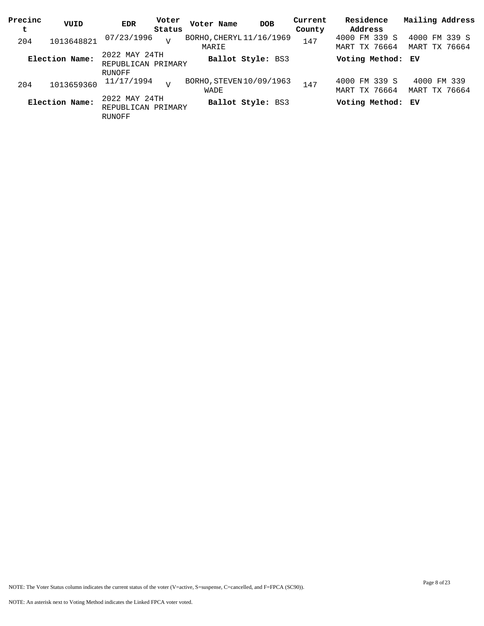| Precinc | VUID           | <b>EDR</b>                                           | Voter  | Voter Name                        | <b>DOB</b>               | Current | Residence                      | Mailing Address                |
|---------|----------------|------------------------------------------------------|--------|-----------------------------------|--------------------------|---------|--------------------------------|--------------------------------|
| t       |                |                                                      | Status |                                   |                          | County  | Address                        |                                |
| 204     | 1013648821     | 07/23/1996                                           | T      | BORHO, CHERYL 11/16/1969<br>MARIE |                          | 147     | 4000 FM 339 S<br>MART TX 76664 | 4000 FM 339 S<br>MART TX 76664 |
|         | Election Name: | 2022 MAY 24TH<br>REPUBLICAN PRIMARY                  |        |                                   | <b>Ballot Style: BS3</b> |         | Voting Method: EV              |                                |
|         |                | RUNOFF                                               |        |                                   |                          |         |                                |                                |
| 204     | 1013659360     | 11/17/1994                                           | T      | BORHO, STEVEN 10/09/1963<br>WADE  |                          | 147     | 4000 FM 339 S<br>MART TX 76664 | 4000 FM 339<br>MART TX 76664   |
|         | Election Name: | 2022 MAY 24TH<br>REPUBLICAN PRIMARY<br><b>RUNOFF</b> |        |                                   | <b>Ballot Style: BS3</b> |         | Voting Method: EV              |                                |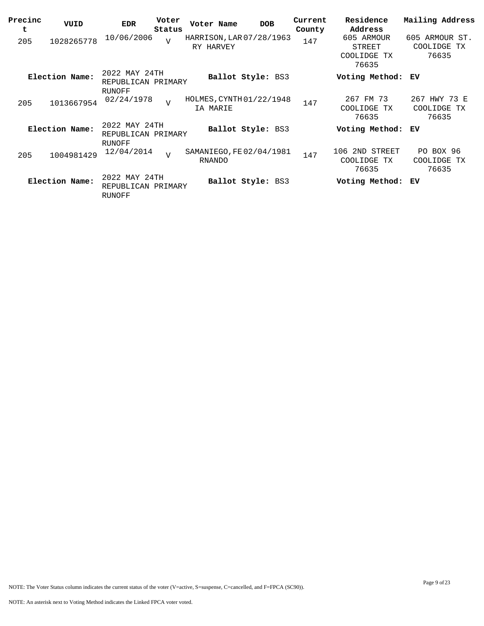| Precinc<br>t | VUID           | <b>EDR</b>                                    | Voter<br>Status | Voter Name                                | <b>DOB</b>        | Current<br>County | Residence<br>Address                         | Mailing Address                           |
|--------------|----------------|-----------------------------------------------|-----------------|-------------------------------------------|-------------------|-------------------|----------------------------------------------|-------------------------------------------|
| 205          | 1028265778     | 10/06/2006                                    | $\overline{V}$  | HARRISON, LAR 07/28/1963<br>RY HARVEY     |                   | 147               | 605 ARMOUR<br>STREET<br>COOLIDGE TX<br>76635 | 605 ARMOUR ST.<br>COOLIDGE<br>ТX<br>76635 |
|              | Election Name: | 2022 MAY 24TH<br>REPUBLICAN PRIMARY<br>RUNOFF |                 |                                           | Ballot Style: BS3 |                   | Voting Method:                               | ЕV                                        |
| 205          | 1013667954     | 02/24/1978                                    | $\overline{U}$  | HOLMES, CYNTH 01/22/1948<br>IA MARIE      |                   | 147               | 267 FM 73<br>COOLIDGE TX<br>76635            | 267 HWY 73 E<br>COOLIDGE TX<br>76635      |
|              | Election Name: | 2022 MAY 24TH<br>REPUBLICAN PRIMARY<br>RUNOFF |                 |                                           | Ballot Style: BS3 |                   | Voting Method:                               | ЕV                                        |
| 205          | 1004981429     | 12/04/2014                                    | $\overline{U}$  | SAMANIEGO, FE 02/04/1981<br><b>RNANDO</b> |                   | 147               | 106 2ND STREET<br>COOLIDGE TX<br>76635       | PO BOX 96<br>COOLIDGE TX<br>76635         |
|              | Election Name: | 2022 MAY 24TH<br>REPUBLICAN PRIMARY<br>RUNOFF |                 |                                           | Ballot Style: BS3 |                   | Voting Method:                               | ЕV                                        |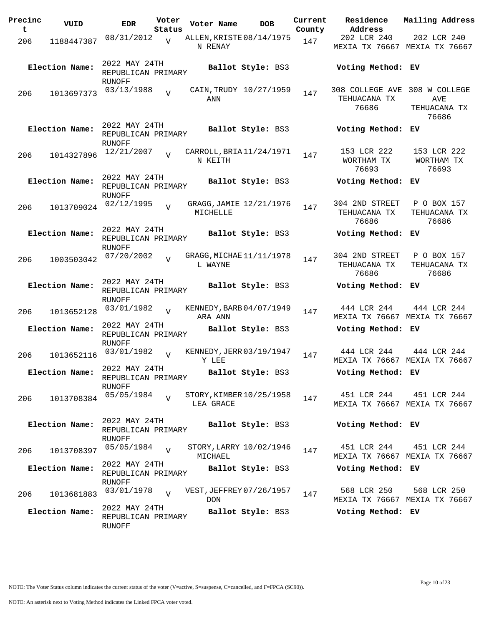| Precinc<br>t | VUID           | <b>EDR</b>                                           | Voter<br>Status | Voter Name                            | <b>DOB</b>             | Current<br>County | Residence<br>Address                                   | Mailing Address                              |
|--------------|----------------|------------------------------------------------------|-----------------|---------------------------------------|------------------------|-------------------|--------------------------------------------------------|----------------------------------------------|
| 206          | 1188447387     | 08/31/2012                                           | $\overline{V}$  | ALLEN, KRISTE 08/14/1975<br>N RENAY   |                        | 147               | 202 LCR 240                                            | 202 LCR 240<br>MEXIA TX 76667 MEXIA TX 76667 |
|              | Election Name: | 2022 MAY 24TH<br>REPUBLICAN PRIMARY<br>RUNOFF        |                 |                                       | Ballot Style: BS3      |                   | Voting Method: EV                                      |                                              |
| 206          | 1013697373     | 03/13/1988                                           | $\overline{U}$  | ANN                                   | CAIN, TRUDY 10/27/1959 | 147               | 308 COLLEGE AVE 308 W COLLEGE<br>TEHUACANA TX<br>76686 | AVE<br>TEHUACANA TX<br>76686                 |
|              | Election Name: | 2022 MAY 24TH<br>REPUBLICAN PRIMARY<br>RUNOFF        |                 |                                       | Ballot Style: BS3      |                   | Voting Method:                                         | ЕV                                           |
| 206          | 1014327896     | 12/21/2007                                           |                 | CARROLL, BRIA 11/24/1971<br>N KEITH   |                        | 147               | 153 LCR 222<br>WORTHAM TX<br>76693                     | 153 LCR 222<br>WORTHAM TX<br>76693           |
|              | Election Name: | 2022 MAY 24TH<br>REPUBLICAN PRIMARY<br><b>RUNOFF</b> |                 |                                       | Ballot Style: BS3      |                   | Voting Method: EV                                      |                                              |
| 206          | 1013709024     | 02/12/1995                                           | $\overline{U}$  | GRAGG, JAMIE 12/21/1976<br>MICHELLE   |                        | 147               | 304 2ND STREET<br>TEHUACANA TX<br>76686                | P O BOX 157<br>TEHUACANA TX<br>76686         |
|              | Election Name: | 2022 MAY 24TH<br>REPUBLICAN PRIMARY<br>RUNOFF        |                 |                                       | Ballot Style: BS3      |                   | Voting Method:                                         | ЕV                                           |
| 206          | 1003503042     | 07/20/2002                                           |                 | GRAGG, MICHAE 11/11/1978<br>L WAYNE   |                        | 147               | 304 2ND STREET<br>TEHUACANA TX<br>76686                | P O BOX 157<br>TEHUACANA TX<br>76686         |
|              | Election Name: | 2022 MAY 24TH<br>REPUBLICAN PRIMARY                  |                 |                                       | Ballot Style: BS3      |                   | Voting Method: EV                                      |                                              |
| 206          | 1013652128     | RUNOFF<br>03/01/1982                                 | $\overline{V}$  | KENNEDY, BARB 04/07/1949<br>ARA ANN   |                        | 147               | 444 LCR 244                                            | 444 LCR 244<br>MEXIA TX 76667 MEXIA TX 76667 |
|              | Election Name: | 2022 MAY 24TH<br>REPUBLICAN PRIMARY<br>RUNOFF        |                 |                                       | Ballot Style: BS3      |                   | Voting Method: EV                                      |                                              |
| 206          | 1013652116     | 03/01/1982<br>2022 MAY 24TH                          | $\overline{U}$  | KENNEDY, JERR 03/19/1947<br>Y LEE     |                        | 147               | 444 LCR 244                                            | 444 LCR 244<br>MEXIA TX 76667 MEXIA TX 76667 |
|              | Election Name: | REPUBLICAN PRIMARY<br>RUNOFF                         |                 |                                       | Ballot Style: BS3      |                   | Voting Method: EV                                      |                                              |
| 206          | 1013708384     | 05/05/1984                                           | $\overline{U}$  | STORY, KIMBER 10/25/1958<br>LEA GRACE |                        | 147               | 451 LCR 244                                            | 451 LCR 244<br>MEXIA TX 76667 MEXIA TX 76667 |
|              | Election Name: | 2022 MAY 24TH<br>REPUBLICAN PRIMARY<br><b>RUNOFF</b> |                 |                                       | Ballot Style: BS3      |                   | Voting Method: EV                                      |                                              |
| 206          | 1013708397     | 05/05/1984                                           | $\overline{V}$  | STORY, LARRY 10/02/1946<br>MICHAEL    |                        | 147               | 451 LCR 244                                            | 451 LCR 244<br>MEXIA TX 76667 MEXIA TX 76667 |
|              | Election Name: | 2022 MAY 24TH<br>REPUBLICAN PRIMARY<br>RUNOFF        |                 |                                       | Ballot Style: BS3      |                   | Voting Method: EV                                      |                                              |
| 206          | 1013681883     | 03/01/1978                                           | $\overline{V}$  | VEST, JEFFREY 07/26/1957<br>DON       |                        | 147               | 568 LCR 250                                            | 568 LCR 250<br>MEXIA TX 76667 MEXIA TX 76667 |
|              | Election Name: | 2022 MAY 24TH<br>REPUBLICAN PRIMARY<br>RUNOFF        |                 |                                       | Ballot Style: BS3      |                   | Voting Method: EV                                      |                                              |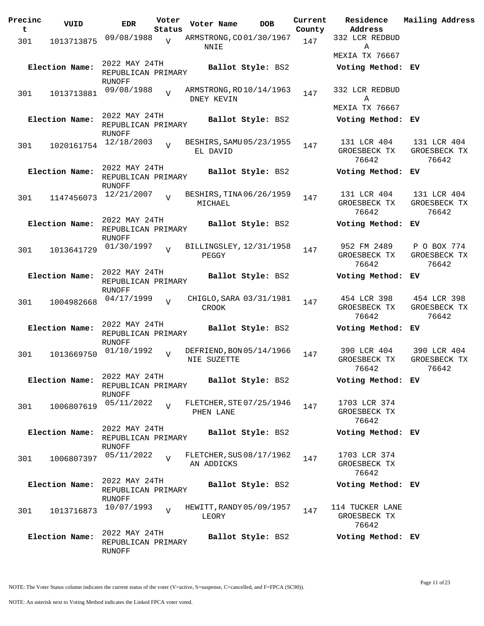| Precinc<br>t | VUID           | <b>EDR</b>                                           | Voter                    | Voter Name                                    | <b>DOB</b>        | Current       | Residence<br>Address                     | Mailing Address                      |
|--------------|----------------|------------------------------------------------------|--------------------------|-----------------------------------------------|-------------------|---------------|------------------------------------------|--------------------------------------|
| 301          | 1013713875     | 09/08/1988                                           | Status<br>$\overline{V}$ | ARMSTRONG, CO01/30/1967                       |                   | County<br>147 | 332 LCR REDBUD                           |                                      |
|              |                |                                                      |                          | NNIE                                          |                   |               | Α<br>MEXIA TX 76667                      |                                      |
|              | Election Name: | 2022 MAY 24TH<br>REPUBLICAN PRIMARY<br>RUNOFF        |                          |                                               | Ballot Style: BS2 |               | Voting Method: EV                        |                                      |
| 301          | 1013713881     | 09/08/1988                                           | $\overline{U}$           | ARMSTRONG, RO 10/14/1963<br><b>DNEY KEVIN</b> |                   | 147           | 332 LCR REDBUD<br>Α                      |                                      |
|              | Election Name: | 2022 MAY 24TH<br>REPUBLICAN PRIMARY<br>RUNOFF        |                          |                                               | Ballot Style: BS2 |               | MEXIA TX 76667<br>Voting Method: EV      |                                      |
| 301          | 1020161754     | 12/18/2003                                           | $\overline{z}$           | BESHIRS, SAMU 05/23/1955<br>EL DAVID          |                   | 147           | 131 LCR 404<br>GROESBECK TX<br>76642     | 131 LCR 404<br>GROESBECK TX<br>76642 |
|              | Election Name: | 2022 MAY 24TH<br>REPUBLICAN PRIMARY<br><b>RUNOFF</b> |                          |                                               | Ballot Style: BS2 |               | Voting Method: EV                        |                                      |
| 301          | 1147456073     | 12/21/2007                                           | $\overline{V}$           | BESHIRS, TINA 06/26/1959<br>MICHAEL           |                   | 147           | 131 LCR 404<br>GROESBECK TX<br>76642     | 131 LCR 404<br>GROESBECK TX<br>76642 |
|              | Election Name: | 2022 MAY 24TH<br>REPUBLICAN PRIMARY<br><b>RUNOFF</b> |                          |                                               | Ballot Style: BS2 |               | Voting Method: EV                        |                                      |
| 301          | 1013641729     | 01/30/1997                                           | $\overline{U}$           | BILLINGSLEY, 12/31/1958<br>PEGGY              |                   | 147           | 952 FM 2489<br>GROESBECK TX<br>76642     | P O BOX 774<br>GROESBECK TX<br>76642 |
|              | Election Name: | 2022 MAY 24TH<br>REPUBLICAN PRIMARY<br>RUNOFF        |                          |                                               | Ballot Style: BS2 |               | Voting Method: EV                        |                                      |
| 301          | 1004982668     | 04/17/1999                                           | $\overline{V}$           | CHIGLO, SARA 03/31/1981<br><b>CROOK</b>       |                   | 147           | 454 LCR 398<br>GROESBECK TX<br>76642     | 454 LCR 398<br>GROESBECK TX<br>76642 |
|              | Election Name: | 2022 MAY 24TH<br>REPUBLICAN PRIMARY<br>RUNOFF        |                          |                                               | Ballot Style: BS2 |               | Voting Method:                           | EV.                                  |
| 301          | 1013669750     | 01/10/1992                                           | $\overline{U}$           | DEFRIEND, BON 05/14/1966<br>NIE SUZETTE       |                   | 147           | 390 LCR 404<br>GROESBECK TX<br>76642     | 390 LCR 404<br>GROESBECK TX<br>76642 |
|              | Election Name: | 2022 MAY 24TH<br>REPUBLICAN PRIMARY<br>RUNOFF        |                          |                                               | Ballot Style: BS2 |               | Voting Method: EV                        |                                      |
| 301          | 1006807619     | 05/11/2022                                           | $\overline{U}$           | FLETCHER, STE 07/25/1946<br>PHEN LANE         |                   | 147           | 1703 LCR 374<br>GROESBECK TX<br>76642    |                                      |
|              | Election Name: | 2022 MAY 24TH<br>REPUBLICAN PRIMARY<br>RUNOFF        |                          |                                               | Ballot Style: BS2 |               | Voting Method: EV                        |                                      |
| 301          | 1006807397     | 05/11/2022                                           | $\overline{V}$           | FLETCHER, SUS 08/17/1962<br>AN ADDICKS        |                   | 147           | 1703 LCR 374<br>GROESBECK TX<br>76642    |                                      |
|              | Election Name: | 2022 MAY 24TH<br>REPUBLICAN PRIMARY<br>RUNOFF        |                          |                                               | Ballot Style: BS2 |               | Voting Method: EV                        |                                      |
| 301          | 1013716873     | 10/07/1993                                           | $\overline{U}$           | HEWITT, RANDY 05/09/1957<br>LEORY             |                   | 147           | 114 TUCKER LANE<br>GROESBECK TX<br>76642 |                                      |
|              | Election Name: | 2022 MAY 24TH<br>REPUBLICAN PRIMARY<br>RUNOFF        |                          |                                               | Ballot Style: BS2 |               | Voting Method: EV                        |                                      |

NOTE: The Voter Status column indicates the current status of the voter (V=active, S=suspense, C=cancelled, and F=FPCA (SC90)).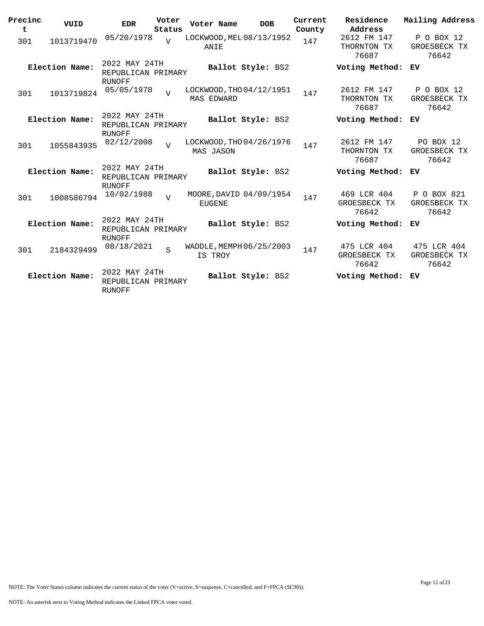| Precinc<br>t | VUID           | <b>EDR</b>                                           | Voter<br>Status | Voter Name                                    | <b>DOB</b>        | Current<br>County | Residence<br>Address                 | Mailing Address                      |
|--------------|----------------|------------------------------------------------------|-----------------|-----------------------------------------------|-------------------|-------------------|--------------------------------------|--------------------------------------|
| 301          | 1013719470     | 05/20/1978                                           | $\overline{U}$  | LOCKWOOD, MEL 08/13/1952<br>ANIE              |                   | 147               | 2612 FM 147<br>THORNTON TX<br>76687  | P O BOX 12<br>GROESBECK TX<br>76642  |
|              | Election Name: | 2022 MAY 24TH<br>REPUBLICAN PRIMARY<br><b>RUNOFF</b> |                 |                                               | Ballot Style: BS2 |                   | Voting Method:                       | ЕV                                   |
| 301          | 1013719824     | 05/05/1978                                           | $\overline{U}$  | LOCKWOOD, THO 04/12/1951<br><b>MAS EDWARD</b> |                   | 147               | 2612 FM 147<br>THORNTON TX<br>76687  | P O BOX 12<br>GROESBECK TX<br>76642  |
|              | Election Name: | 2022 MAY 24TH<br>REPUBLICAN PRIMARY<br>RUNOFF        |                 |                                               | Ballot Style: BS2 |                   | Voting Method:                       | ЕV                                   |
| 301          | 1055843935     | 02/12/2008                                           | $\overline{U}$  | LOCKWOOD, THO 04/26/1976<br>MAS JASON         |                   | 147               | 2612 FM 147<br>THORNTON TX<br>76687  | PO BOX 12<br>GROESBECK TX<br>76642   |
|              | Election Name: | 2022 MAY 24TH<br>REPUBLICAN PRIMARY<br>RUNOFF        |                 |                                               | Ballot Style: BS2 |                   | Voting Method:                       | ЕV                                   |
| 301          | 1008586794     | 10/02/1988                                           | $\overline{U}$  | MOORE, DAVID 04/09/1954<br><b>EUGENE</b>      |                   | 147               | 469 LCR 404<br>GROESBECK TX<br>76642 | P O BOX 821<br>GROESBECK TX<br>76642 |
|              | Election Name: | 2022 MAY 24TH<br>REPUBLICAN PRIMARY<br>RUNOFF        |                 |                                               | Ballot Style: BS2 |                   | Voting Method:                       | ЕV                                   |
| 301          | 2184329499     | 08/18/2021                                           | S               | WADDLE, MEMPH 06/25/2003<br>IS TROY           |                   | 147               | 475 LCR 404<br>GROESBECK TX<br>76642 | 475 LCR 404<br>GROESBECK TX<br>76642 |
|              | Election Name: | 2022 MAY 24TH<br>REPUBLICAN PRIMARY<br><b>RUNOFF</b> |                 |                                               | Ballot Style: BS2 |                   | Voting Method:                       | ЕV                                   |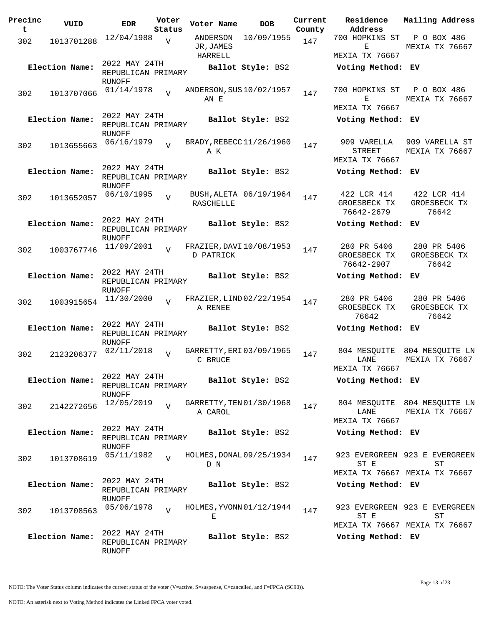| Precinc<br>t | VUID           | <b>EDR</b>                          | Voter<br>Status | Voter Name           | <b>DOB</b>               | Current<br>County | Residence<br>Address            | Mailing Address               |
|--------------|----------------|-------------------------------------|-----------------|----------------------|--------------------------|-------------------|---------------------------------|-------------------------------|
|              |                | 12/04/1988                          |                 | ANDERSON             | 10/09/1955               |                   | 700 HOPKINS ST                  | P O BOX 486                   |
| 302          | 1013701288     |                                     | $\overline{V}$  | JR, JAMES<br>HARRELL |                          | 147               | Е<br>MEXIA TX 76667             | MEXIA TX 76667                |
|              | Election Name: | 2022 MAY 24TH                       |                 |                      | Ballot Style: BS2        |                   |                                 |                               |
|              |                | REPUBLICAN PRIMARY<br>RUNOFF        |                 |                      |                          |                   | Voting Method: EV               |                               |
| 302          | 1013707066     | 01/14/1978                          | $\overline{V}$  |                      | ANDERSON, SUS 10/02/1957 | 147               | 700 HOPKINS ST                  | P O BOX 486                   |
|              |                |                                     |                 | AN E                 |                          |                   | Е<br>MEXIA TX 76667             | MEXIA TX 76667                |
|              | Election Name: | 2022 MAY 24TH                       |                 |                      | Ballot Style: BS2        |                   | Voting Method: EV               |                               |
|              |                | REPUBLICAN PRIMARY<br>RUNOFF        |                 |                      |                          |                   |                                 |                               |
| 302          | 1013655663     | 06/16/1979                          | $\overline{v}$  |                      | BRADY, REBECC 11/26/1960 | 147               | 909 VARELLA                     | 909 VARELLA ST                |
|              |                |                                     |                 | ΑK                   |                          |                   | <b>STREET</b><br>MEXIA TX 76667 | MEXIA TX 76667                |
|              | Election Name: | 2022 MAY 24TH                       |                 |                      | Ballot Style: BS2        |                   | Voting Method: EV               |                               |
|              |                | REPUBLICAN PRIMARY<br>RUNOFF        |                 |                      |                          |                   |                                 |                               |
| 302          | 1013652057     | 06/10/1995                          | $\overline{V}$  |                      | BUSH, ALETA 06/19/1964   | 147               | 422 LCR 414                     | 422 LCR 414                   |
|              |                |                                     |                 | RASCHELLE            |                          |                   | GROESBECK TX<br>76642-2679      | GROESBECK TX<br>76642         |
|              | Election Name: | 2022 MAY 24TH                       |                 |                      | Ballot Style: BS2        |                   | Voting Method:                  | EV                            |
|              |                | REPUBLICAN PRIMARY<br><b>RUNOFF</b> |                 |                      |                          |                   |                                 |                               |
|              | 1003767746     | 11/09/2001                          | $\overline{U}$  |                      | FRAZIER, DAVI 10/08/1953 | 147               | 280 PR 5406                     | 280 PR 5406                   |
| 302          |                |                                     |                 | D PATRICK            |                          |                   | GROESBECK TX<br>76642-2907      | GROESBECK TX<br>76642         |
|              | Election Name: | 2022 MAY 24TH                       |                 |                      | Ballot Style: BS2        |                   | Voting Method: EV               |                               |
|              |                | REPUBLICAN PRIMARY                  |                 |                      |                          |                   |                                 |                               |
|              |                | RUNOFF<br>11/30/2000                |                 |                      | FRAZIER, LIND 02/22/1954 |                   | 280 PR 5406                     | 280 PR 5406                   |
| 302          | 1003915654     |                                     | $\overline{V}$  | A RENEE              |                          | 147               | GROESBECK TX<br>76642           | GROESBECK TX<br>76642         |
|              | Election Name: | 2022 MAY 24TH                       |                 |                      | Ballot Style: BS2        |                   | Voting Method: EV               |                               |
|              |                | REPUBLICAN PRIMARY<br><b>RUNOFF</b> |                 |                      |                          |                   |                                 |                               |
| 302          | 2123206377     | 02/11/2018                          | $\overline{U}$  |                      | GARRETTY, ERI 03/09/1965 | 147               | 804 MESOUITE                    | 804 MESQUITE LN               |
|              |                |                                     |                 | C BRUCE              |                          |                   | LANE                            | MEXIA TX 76667                |
|              |                | 2022 MAY 24TH                       |                 |                      |                          |                   | MEXIA TX 76667                  |                               |
|              | Election Name: | REPUBLICAN PRIMARY<br>RUNOFF        |                 |                      | Ballot Style: BS2        |                   | Voting Method: EV               |                               |
|              | 2142272656     | 12/05/2019                          | $\overline{U}$  |                      | GARRETTY, TEN 01/30/1968 | 147               |                                 | 804 MESQUITE 804 MESQUITE LN  |
| 302          |                |                                     |                 | A CAROL              |                          |                   | LANE                            | MEXIA TX 76667                |
|              |                | 2022 MAY 24TH                       |                 |                      |                          |                   | MEXIA TX 76667                  |                               |
|              | Election Name: | REPUBLICAN PRIMARY<br>RUNOFF        |                 |                      | Ballot Style: BS2        |                   | Voting Method: EV               |                               |
|              |                | 05/11/1982                          | $\overline{V}$  |                      | HOLMES, DONAL 09/25/1934 |                   |                                 | 923 EVERGREEN 923 E EVERGREEN |
| 302          | 1013708619     |                                     |                 | D N                  |                          | 147               | ST E                            | ST                            |
|              |                |                                     |                 |                      |                          |                   |                                 | MEXIA TX 76667 MEXIA TX 76667 |
|              | Election Name: | 2022 MAY 24TH<br>REPUBLICAN PRIMARY |                 |                      | Ballot Style: BS2        |                   | Voting Method: EV               |                               |
|              |                | RUNOFF<br>05/06/1978                |                 |                      | HOLMES, YVONN 01/12/1944 |                   |                                 | 923 EVERGREEN 923 E EVERGREEN |
| 302          | 1013708563     |                                     | $\overline{U}$  | Е                    |                          | 147               | ST E                            | ST                            |
|              |                |                                     |                 |                      |                          |                   |                                 | MEXIA TX 76667 MEXIA TX 76667 |
|              | Election Name: | 2022 MAY 24TH                       |                 |                      | Ballot Style: BS2        |                   | Voting Method: EV               |                               |
|              |                | REPUBLICAN PRIMARY<br>RUNOFF        |                 |                      |                          |                   |                                 |                               |

NOTE: The Voter Status column indicates the current status of the voter (V=active, S=suspense, C=cancelled, and F=FPCA (SC90)).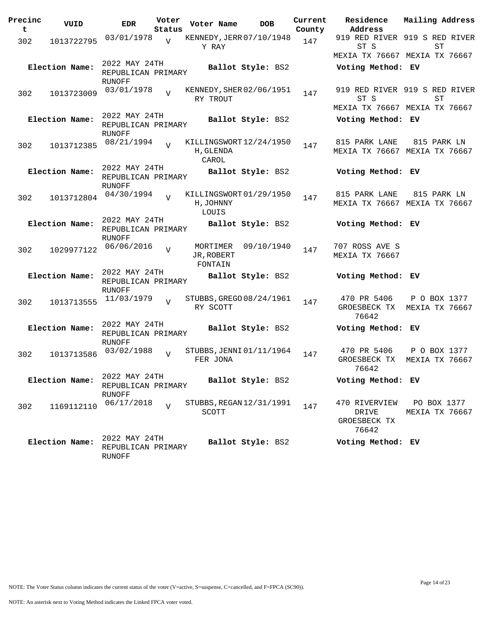| Precinc<br>t | VUID           | <b>EDR</b>                                           | Voter<br>Status | Voter Name                                    | <b>DOB</b>        | Current<br>County | Residence<br>Address                            | Mailing Address                                                      |
|--------------|----------------|------------------------------------------------------|-----------------|-----------------------------------------------|-------------------|-------------------|-------------------------------------------------|----------------------------------------------------------------------|
| 302          | 1013722795     | 03/01/1978                                           | $\overline{V}$  | KENNEDY, JERR 07/10/1948<br>Y RAY             |                   | 147               | ST S                                            | 919 RED RIVER 919 S RED RIVER<br>ST<br>MEXIA TX 76667 MEXIA TX 76667 |
|              | Election Name: | 2022 MAY 24TH<br>REPUBLICAN PRIMARY<br>RUNOFF        |                 |                                               | Ballot Style: BS2 |                   | Voting Method: EV                               |                                                                      |
| 302          | 1013723009     | 03/01/1978                                           |                 | KENNEDY, SHER 02/06/1951<br>RY TROUT          |                   | 147               | ST S                                            | 919 RED RIVER 919 S RED RIVER<br>SТ<br>MEXIA TX 76667 MEXIA TX 76667 |
|              | Election Name: | 2022 MAY 24TH<br>REPUBLICAN PRIMARY<br>RUNOFF        |                 |                                               | Ballot Style: BS2 |                   | Voting Method: EV                               |                                                                      |
| 302          | 1013712385     | 08/21/1994                                           |                 | KILLINGSWORT12/24/1950<br>H, GLENDA<br>CAROL  |                   | 147               | 815 PARK LANE                                   | 815 PARK LN<br>MEXIA TX 76667 MEXIA TX 76667                         |
|              | Election Name: | 2022 MAY 24TH<br>REPUBLICAN PRIMARY<br><b>RUNOFF</b> |                 |                                               | Ballot Style: BS2 |                   | Voting Method: EV                               |                                                                      |
| 302          | 1013712804     | 04/30/1994                                           |                 | KILLINGSWORT 01/29/1950<br>H, JOHNNY<br>LOUIS |                   | 147               | 815 PARK LANE                                   | 815 PARK LN<br>MEXIA TX 76667 MEXIA TX 76667                         |
|              | Election Name: | 2022 MAY 24TH<br>REPUBLICAN PRIMARY<br><b>RUNOFF</b> |                 |                                               | Ballot Style: BS2 |                   | Voting Method: EV                               |                                                                      |
| 302          | 1029977122     | 06/06/2016                                           | $\overline{U}$  | MORTIMER<br>JR, ROBERT<br>FONTAIN             | 09/10/1940        | 147               | 707 ROSS AVE S<br>MEXIA TX 76667                |                                                                      |
|              | Election Name: | 2022 MAY 24TH<br>REPUBLICAN PRIMARY<br>RUNOFF        |                 |                                               | Ballot Style: BS2 |                   | Voting Method: EV                               |                                                                      |
| 302          | 1013713555     | 11/03/1979                                           | $\overline{U}$  | STUBBS, GREGO 08/24/1961<br>RY SCOTT          |                   | 147               | 470 PR 5406<br>GROESBECK TX<br>76642            | P O BOX 1377<br>MEXIA TX 76667                                       |
|              | Election Name: | 2022 MAY 24TH<br>REPUBLICAN PRIMARY<br><b>RUNOFF</b> |                 |                                               | Ballot Style: BS2 |                   | Voting Method: EV                               |                                                                      |
| 302          | 1013713586     | 03/02/1988                                           | $\overline{V}$  | STUBBS, JENNI 01/11/1964<br>FER JONA          |                   | 147               | 470 PR 5406<br>GROESBECK TX<br>76642            | P O BOX 1377<br>MEXIA TX 76667                                       |
|              | Election Name: | 2022 MAY 24TH<br>REPUBLICAN PRIMARY<br>RUNOFF        |                 |                                               | Ballot Style: BS2 |                   | Voting Method: EV                               |                                                                      |
| 302          | 1169112110     | 06/17/2018                                           | $\overline{U}$  | STUBBS, REGAN 12/31/1991<br>SCOTT             |                   | 147               | 470 RIVERVIEW<br>DRIVE<br>GROESBECK TX<br>76642 | PO BOX 1377<br>MEXIA TX 76667                                        |
|              | Election Name: | 2022 MAY 24TH<br>REPUBLICAN PRIMARY<br>RUNOFF        |                 |                                               | Ballot Style: BS2 |                   | Voting Method: EV                               |                                                                      |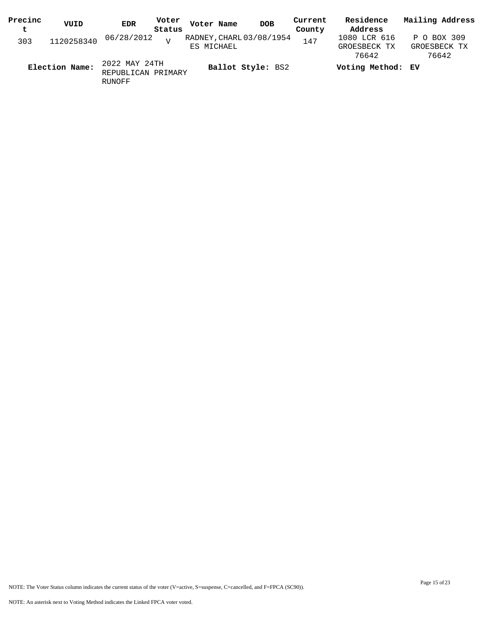| Precinc<br>t | VUID           | EDR                                 | Voter<br>Status | Voter Name | <b>DOB</b>               | Current<br>County | Residence<br>Address                  | Mailing Address                      |
|--------------|----------------|-------------------------------------|-----------------|------------|--------------------------|-------------------|---------------------------------------|--------------------------------------|
| 303          | 1120258340     | 06/28/2012                          | $\overline{17}$ | ES MICHAEL | RADNEY, CHARL 03/08/1954 | 147               | 1080 LCR 616<br>GROESBECK TX<br>76642 | P O BOX 309<br>GROESBECK TX<br>76642 |
|              | Election Name: | 2022 MAY 24TH<br>REPUBLICAN PRIMARY |                 |            | Ballot Style: BS2        |                   | Voting Method: EV                     |                                      |

RUNOFF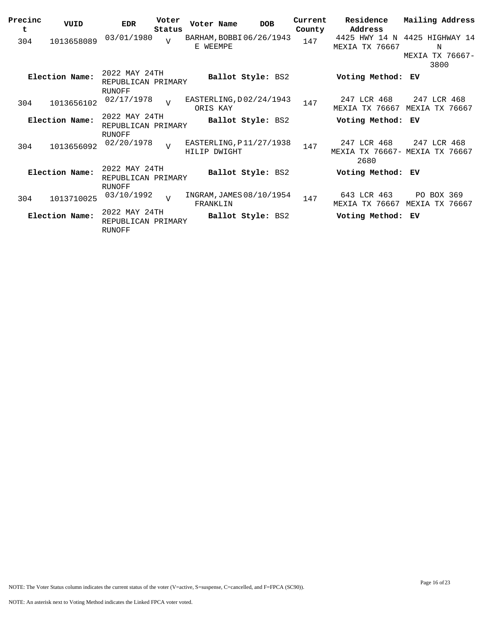| Precinc<br>t | VUID           | <b>EDR</b>                                           | Voter<br>Status | Voter Name                              | <b>DOB</b> | Current<br>County | Residence<br>Address                                  | Mailing Address               |  |
|--------------|----------------|------------------------------------------------------|-----------------|-----------------------------------------|------------|-------------------|-------------------------------------------------------|-------------------------------|--|
| 304          | 1013658089     | 03/01/1980                                           | $\overline{U}$  | BARHAM, BOBBI06/26/1943<br>E WEEMPE     |            | 147               | 4425 HWY 14 N<br>TX 76667<br>MEXIA                    | 4425 HIGHWAY 14<br>N          |  |
|              |                |                                                      |                 |                                         |            |                   |                                                       | MEXIA TX 76667-<br>3800       |  |
|              | Election Name: | 2022 MAY 24TH<br>REPUBLICAN PRIMARY<br>RUNOFF        |                 | Ballot Style: BS2                       |            |                   | Voting Method:                                        | ЕV                            |  |
| 304          | 1013656102     | 02/17/1978                                           | $\overline{17}$ | EASTERLING, D02/24/1943<br>ORIS KAY     |            | 147               | 247 LCR 468<br>MEXIA TX 76667                         | 247 LCR 468<br>MEXIA TX 76667 |  |
|              | Election Name: | 2022 MAY 24TH<br>REPUBLICAN PRIMARY                  |                 | Ballot Style: BS2                       |            |                   | Voting Method: EV                                     |                               |  |
| 304          | 1013656092     | RUNOFF<br>02/20/1978                                 | $\overline{v}$  | EASTERLING, P11/27/1938<br>HILIP DWIGHT |            | 147               | 247 LCR 468<br>MEXIA TX 76667- MEXIA TX 76667<br>2680 | 247 LCR 468                   |  |
|              | Election Name: | 2022 MAY 24TH<br>REPUBLICAN PRIMARY<br><b>RUNOFF</b> |                 | Ballot Style: BS2                       |            |                   | Voting Method: EV                                     |                               |  |
| 304          | 1013710025     | 03/10/1992                                           | $\overline{U}$  | INGRAM, JAMES 08/10/1954<br>FRANKLIN    |            | 147               | 643 LCR 463<br>MEXIA TX 76667                         | PO BOX 369<br>MEXIA TX 76667  |  |
|              | Election Name: | 2022 MAY 24TH<br>REPUBLICAN PRIMARY<br><b>RUNOFF</b> |                 | Ballot Style: BS2                       |            |                   | Voting Method: EV                                     |                               |  |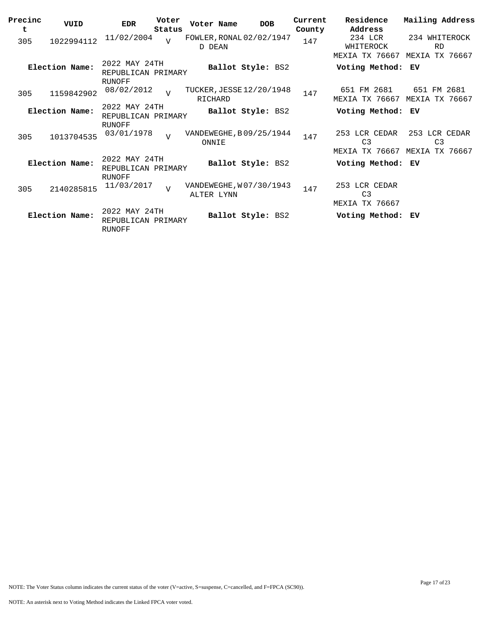| Precinc<br>t | VUID           | <b>EDR</b>                                           | Voter<br>Status | Voter Name                            | <b>DOB</b>        | Current<br>County | Residence<br>Address                              | Mailing Address                                      |
|--------------|----------------|------------------------------------------------------|-----------------|---------------------------------------|-------------------|-------------------|---------------------------------------------------|------------------------------------------------------|
| 305          | 1022994112     | 11/02/2004                                           | $\overline{U}$  | FOWLER, RONAL 02/02/1947<br>D DEAN    |                   | 147               | 234 LCR<br>WHITEROCK                              | 234 WHITEROCK<br><b>RD</b>                           |
|              |                |                                                      |                 |                                       |                   |                   | MEXIA TX 76667                                    | MEXIA TX 76667                                       |
|              | Election Name: | 2022 MAY 24TH<br>REPUBLICAN PRIMARY<br>RUNOFF        |                 |                                       | Ballot Style: BS2 |                   | Voting Method: EV                                 |                                                      |
| 305          | 1159842902     | 08/02/2012                                           | $\overline{U}$  | TUCKER, JESSE 12/20/1948<br>RICHARD   |                   | 147               | 651 FM 2681<br>MEXIA TX 76667                     | 651 FM 2681<br>MEXIA TX 76667                        |
|              | Election Name: | 2022 MAY 24TH<br>REPUBLICAN PRIMARY                  |                 |                                       | Ballot Style: BS2 |                   | Voting Method:                                    | ЕV                                                   |
| 305          | 1013704535     | <b>RUNOFF</b><br>03/01/1978                          | $\overline{v}$  | VANDEWEGHE, B09/25/1944<br>ONNIE      |                   | 147               | 253 LCR CEDAR<br>C <sub>3</sub><br>MEXIA TX 76667 | 253 LCR CEDAR<br>C <sub>3</sub><br>MEXIA<br>TX 76667 |
|              | Election Name: | 2022 MAY 24TH<br>REPUBLICAN PRIMARY<br><b>RUNOFF</b> |                 |                                       | Ballot Style: BS2 |                   | Voting Method:                                    | ЕV                                                   |
| 305          | 2140285815     | 11/03/2017                                           | $\overline{U}$  | VANDEWEGHE, W07/30/1943<br>ALTER LYNN |                   | 147               | 253 LCR CEDAR<br>C <sub>3</sub><br>MEXIA TX 76667 |                                                      |
|              | Election Name: | 2022 MAY 24TH<br>REPUBLICAN PRIMARY<br><b>RUNOFF</b> |                 |                                       | Ballot Style: BS2 |                   | Voting Method:                                    | ЕV                                                   |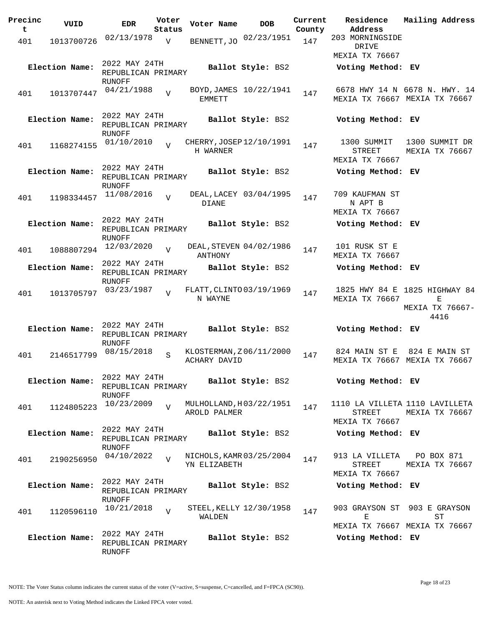| Precinc  | VUID           | <b>EDR</b>                                           | Voter          | Voter Name                               | <b>DOB</b>              | Current       | Residence                                          | Mailing Address                                                |
|----------|----------------|------------------------------------------------------|----------------|------------------------------------------|-------------------------|---------------|----------------------------------------------------|----------------------------------------------------------------|
| t<br>401 | 1013700726     | 02/13/1978                                           | Status<br>V    | BENNETT, JO                              | 02/23/1951              | County<br>147 | Address<br>203 MORNINGSIDE                         |                                                                |
|          |                |                                                      |                |                                          |                         |               | DRIVE<br>MEXIA TX 76667                            |                                                                |
|          | Election Name: | 2022 MAY 24TH<br>REPUBLICAN PRIMARY<br>RUNOFF        |                |                                          | Ballot Style: BS2       |               | Voting Method: EV                                  |                                                                |
| 401      | 1013707447     | 04/21/1988                                           | $\overline{V}$ | EMMETT                                   | BOYD, JAMES 10/22/1941  | 147           |                                                    | 6678 HWY 14 N 6678 N. HWY. 14<br>MEXIA TX 76667 MEXIA TX 76667 |
|          | Election Name: | 2022 MAY 24TH<br>REPUBLICAN PRIMARY<br>RUNOFF        |                |                                          | Ballot Style: BS2       |               | Voting Method: EV                                  |                                                                |
| 401      | 1168274155     | 01/10/2010                                           | $\overline{U}$ | CHERRY, JOSEP 12/10/1991<br>H WARNER     |                         | 147           | 1300 SUMMIT<br>STREET<br>MEXIA TX 76667            | 1300 SUMMIT DR<br>MEXIA TX 76667                               |
|          | Election Name: | 2022 MAY 24TH<br>REPUBLICAN PRIMARY<br>RUNOFF        |                |                                          | Ballot Style: BS2       |               | Voting Method: EV                                  |                                                                |
| 401      | 1198334457     | 11/08/2016                                           | $\overline{V}$ | DIANE                                    | DEAL, LACEY 03/04/1995  | 147           | 709 KAUFMAN ST<br>N APT B<br><b>MEXIA TX 76667</b> |                                                                |
|          | Election Name: | 2022 MAY 24TH<br>REPUBLICAN PRIMARY<br><b>RUNOFF</b> |                |                                          | Ballot Style: BS2       |               | Voting Method: EV                                  |                                                                |
| 401      | 1088807294     | 12/03/2020                                           | $\overline{V}$ | DEAL, STEVEN 04/02/1986<br>ANTHONY       |                         | 147           | 101 RUSK ST E<br>MEXIA TX 76667                    |                                                                |
|          | Election Name: | 2022 MAY 24TH<br>REPUBLICAN PRIMARY<br>RUNOFF        |                |                                          | Ballot Style: BS2       |               | Voting Method: EV                                  |                                                                |
| 401      | 1013705797     | 03/23/1987                                           | $\overline{U}$ | FLATT, CLINTO 03/19/1969<br>N WAYNE      |                         | 147           | MEXIA TX 76667                                     | 1825 HWY 84 E 1825 HIGHWAY 84<br>E<br>MEXIA TX 76667-<br>4416  |
|          | Election Name: | 2022 MAY 24TH<br>REPUBLICAN PRIMARY<br><b>RUNOFF</b> |                |                                          | Ballot Style: BS2       |               | Voting Method: EV                                  |                                                                |
| 401      | 2146517799     | 08/15/2018                                           | S              | KLOSTERMAN, Z06/11/2000<br>ACHARY DAVID  |                         | 147           | 824 MAIN ST E<br>MEXIA TX 76667                    | 824 E MAIN ST<br>MEXIA TX 76667                                |
|          | Election Name: | 2022 MAY 24TH<br>REPUBLICAN PRIMARY<br>RUNOFF        |                |                                          | Ballot Style: BS2       |               | Voting Method: EV                                  |                                                                |
| 401      | 1124805223     | 10/23/2009                                           | $\overline{U}$ | MULHOLLAND, H03/22/1951<br>AROLD PALMER  |                         | 147           | STREET<br><b>MEXIA TX 76667</b>                    | 1110 LA VILLETA 1110 LAVILLETA<br>MEXIA TX 76667               |
|          | Election Name: | 2022 MAY 24TH<br>REPUBLICAN PRIMARY<br>RUNOFF        |                |                                          | Ballot Style: BS2       |               | Voting Method: EV                                  |                                                                |
| 401      | 2190256950     | 04/10/2022                                           | $\overline{U}$ | NICHOLS, KAMR 03/25/2004<br>YN ELIZABETH |                         | 147           | 913 LA VILLETA<br>STREET<br>MEXIA TX 76667         | PO BOX 871<br>MEXIA TX 76667                                   |
|          | Election Name: | 2022 MAY 24TH<br>REPUBLICAN PRIMARY<br>RUNOFF        |                |                                          | Ballot Style: BS2       |               | Voting Method: EV                                  |                                                                |
| 401      | 1120596110     | 10/21/2018                                           | $\overline{V}$ | WALDEN                                   | STEEL, KELLY 12/30/1958 | 147           | 903 GRAYSON ST<br>Е                                | 903 E GRAYSON<br>SТ<br>MEXIA TX 76667 MEXIA TX 76667           |
|          | Election Name: | 2022 MAY 24TH<br>REPUBLICAN PRIMARY<br>RUNOFF        |                |                                          | Ballot Style: BS2       |               | Voting Method: EV                                  |                                                                |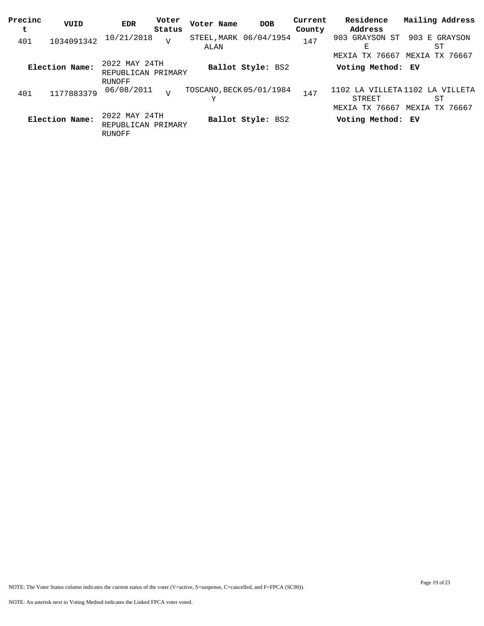| Precinc<br>t | VUID           | EDR                                           | Voter<br>Status | Voter Name                     | <b>DOB</b>        | Current<br>County | Residence<br>Address                             | Mailing Address                    |
|--------------|----------------|-----------------------------------------------|-----------------|--------------------------------|-------------------|-------------------|--------------------------------------------------|------------------------------------|
| 401          | 1034091342     | 10/21/2018                                    | V               | STEEL, MARK 06/04/1954<br>ALAN |                   | 147               | 903 GRAYSON ST<br>Е                              | 903<br>E GRAYSON<br>ST             |
|              | Election Name: | 2022 MAY 24TH<br>REPUBLICAN PRIMARY           |                 |                                | Ballot Style: BS2 |                   | MEXIA TX 76667<br>Voting Method: EV              | MEXIA TX 76667                     |
| 401          | 1177883379     | RUNOFF<br>06/08/2011                          | $\overline{U}$  | TOSCANO, BECK 05/01/1984<br>Υ  |                   | 147               | 1102 LA VILLETA 1102<br>STREET<br>MEXIA TX 76667 | LA VILLETA<br>ST<br>MEXIA TX 76667 |
|              | Election Name: | 2022 MAY 24TH<br>REPUBLICAN PRIMARY<br>RUNOFF |                 |                                | Ballot Style: BS2 |                   | Voting Method: EV                                |                                    |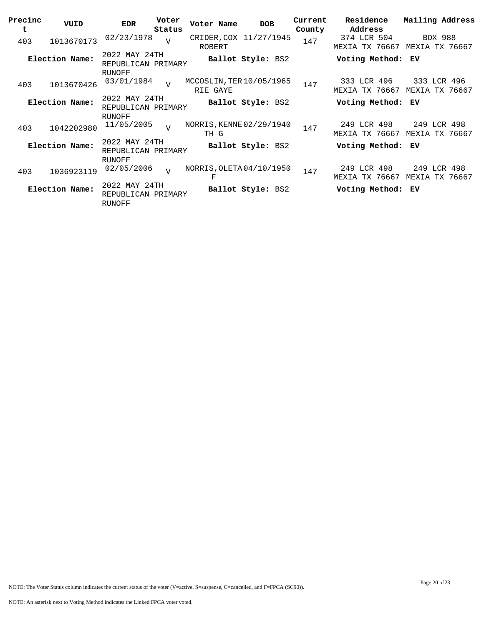| Precinc<br>t | VUID           | <b>EDR</b>                                           | Voter<br>Status | Voter Name                           | <b>DOB</b>             | Current<br>County | Residence<br>Address                 | Mailing Address                  |
|--------------|----------------|------------------------------------------------------|-----------------|--------------------------------------|------------------------|-------------------|--------------------------------------|----------------------------------|
| 403          | 1013670173     | 02/23/1978                                           | $\overline{U}$  | <b>ROBERT</b>                        | CRIDER, COX 11/27/1945 | 147               | 374 LCR 504<br>MEXIA TX 76667        | <b>BOX 988</b><br>MEXIA TX 76667 |
|              | Election Name: | 2022 MAY 24TH<br>REPUBLICAN PRIMARY                  |                 |                                      | Ballot Style: BS2      |                   | Voting Method:                       | ЕV                               |
| 403          | 1013670426     | <b>RUNOFF</b><br>03/01/1984                          | $\overline{17}$ | MCCOSLIN, TER 10/05/1965<br>RIE GAYE |                        | 147               | 333 LCR 496<br><b>MEXIA TX 76667</b> | 333 LCR 496<br>MEXIA TX 76667    |
|              | Election Name: | 2022 MAY 24TH<br>REPUBLICAN PRIMARY<br><b>RUNOFF</b> |                 |                                      | Ballot Style: BS2      |                   | Voting Method:                       | ЕV                               |
| 403          | 1042202980     | 11/05/2005                                           | $\overline{v}$  | NORRIS, KENNE 02/29/1940<br>TH G     |                        | 147               | 249 LCR 498<br>MEXIA TX 76667        | 249 LCR 498<br>MEXIA TX 76667    |
|              | Election Name: | 2022 MAY 24TH<br>REPUBLICAN PRIMARY<br>RUNOFF        |                 |                                      | Ballot Style: BS2      |                   | Voting Method:                       | ЕV                               |
| 403          | 1036923119     | 02/05/2006                                           | $\overline{V}$  | NORRIS, OLETA 04/10/1950<br>F        |                        | 147               | 249 LCR 498<br>TX 76667<br>MEXIA     | 249 LCR 498<br>MEXIA<br>TX 76667 |
|              | Election Name: | 2022 MAY 24TH<br>REPUBLICAN PRIMARY<br>RUNOFF        |                 |                                      | Ballot Style: BS2      |                   | Voting Method:                       | ЕV                               |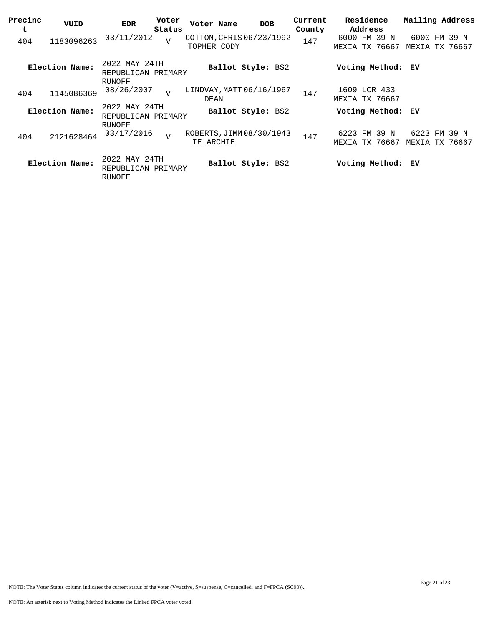| Precinc<br>t | VUID           | <b>EDR</b>                                    | Voter<br>Status | Voter Name                              |                   | <b>DOB</b> | Current<br>County | Residence<br>Address           |                     | Mailing Address |                          |
|--------------|----------------|-----------------------------------------------|-----------------|-----------------------------------------|-------------------|------------|-------------------|--------------------------------|---------------------|-----------------|--------------------------|
| 404          | 1183096263     | 03/11/2012                                    | $\overline{V}$  | COTTON, CHRIS 06/23/1992<br>TOPHER CODY |                   |            | 147               | 6000 FM 39 N<br>MEXIA TX 76667 |                     | MEXIA           | 6000 FM 39 N<br>TX 76667 |
|              | Election Name: | 2022 MAY 24TH<br>REPUBLICAN PRIMARY<br>RUNOFF |                 |                                         | Ballot Style: BS2 |            |                   | Voting Method:                 |                     | ЕV              |                          |
| 404          | 1145086369     | 08/26/2007                                    | $\overline{U}$  | LINDVAY, MATT 06/16/1967<br>DEAN        |                   |            | 147               | 1609 LCR 433<br>MEXIA TX 76667 |                     |                 |                          |
|              | Election Name: | 2022 MAY 24TH<br>REPUBLICAN PRIMARY           |                 |                                         | Ballot Style: BS2 |            |                   | Voting Method: EV              |                     |                 |                          |
| 404          | 2121628464     | RUNOFF<br>03/17/2016                          | $\overline{v}$  | ROBERTS, JIMM 08/30/1943<br>IE ARCHIE   |                   |            | 147               | 6223<br>MEXIA                  | FM 39 N<br>TX 76667 | MEXIA           | 6223 FM 39 N<br>TX 76667 |
|              | Election Name: | 2022 MAY 24TH<br>REPUBLICAN PRIMARY<br>RUNOFF |                 |                                         | Ballot Style: BS2 |            |                   | Voting Method: EV              |                     |                 |                          |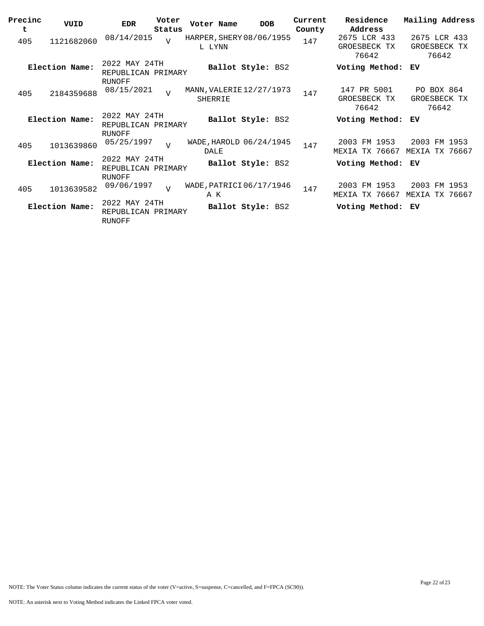| Precinc<br>t | VUID           | <b>EDR</b>                                           | Voter<br>Status | Voter Name                                 | <b>DOB</b>        | Current<br>County | Residence<br>Address                  | Mailing Address                       |
|--------------|----------------|------------------------------------------------------|-----------------|--------------------------------------------|-------------------|-------------------|---------------------------------------|---------------------------------------|
| 405          | 1121682060     | 08/14/2015                                           | $\overline{U}$  | HARPER, SHERY 08/06/1955<br>L LYNN         |                   | 147               | 2675 LCR 433<br>GROESBECK TX<br>76642 | 2675 LCR 433<br>GROESBECK TX<br>76642 |
|              | Election Name: | 2022 MAY 24TH<br>REPUBLICAN PRIMARY<br>RUNOFF        |                 |                                            | Ballot Style: BS2 |                   | Voting Method:                        | ЕV                                    |
| 405          | 2184359688     | 08/15/2021                                           | $\overline{U}$  | MANN, VALERIE 12/27/1973<br><b>SHERRIE</b> |                   | 147               | 147 PR 5001<br>GROESBECK TX<br>76642  | PO BOX 864<br>GROESBECK TX<br>76642   |
|              | Election Name: | 2022 MAY 24TH<br>REPUBLICAN PRIMARY<br>RUNOFF        |                 |                                            | Ballot Style: BS2 |                   | Voting Method:                        | ЕV                                    |
| 405          | 1013639860     | 05/25/1997                                           | $\overline{V}$  | WADE, HAROLD 06/24/1945<br>DALE            |                   | 147               | 2003 FM 1953<br>TX 76667<br>MEXIA     | 2003<br>FM 1953<br>TX 76667<br>MEXIA  |
|              | Election Name: | 2022 MAY 24TH<br>REPUBLICAN PRIMARY<br><b>RUNOFF</b> |                 |                                            | Ballot Style: BS2 |                   | Voting Method:                        | ЕV                                    |
| 405          | 1013639582     | 09/06/1997                                           | $\overline{v}$  | WADE, PATRICI 06/17/1946<br>A K            |                   | 147               | 2003 FM 1953<br>TX 76667<br>MEXIA     | 2003<br>FM 1953<br>TX 76667<br>MEXIA  |
|              | Election Name: | 2022 MAY 24TH<br>REPUBLICAN PRIMARY<br><b>RUNOFF</b> |                 |                                            | Ballot Style: BS2 |                   | Voting Method:                        | ЕV                                    |